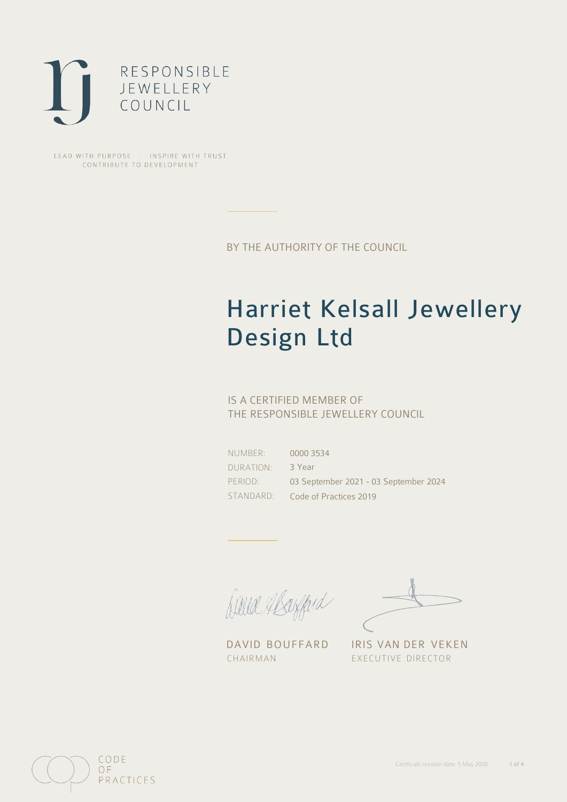

LEAD WITH PURPOSE . INSPIRE WITH TRUST CONTRIBUTE TO DEVELOPMENT

BY THE AUTHORITY OF THE COUNCIL

## Harriet Kelsall Jewellery Design Ltd

### IS A CERTIFIED MEMBER OF THE RESPONSIBLE JEWELLERY COUNCIL

NUMBER: DURATION: PERIOD: STANDARD:

0000 3534 3 Year 03 September 2021 - 03 September 2024 Code of Practices 2019

David Abanford

DAVID BOUFFARD IRIS VAN DER VEKEN CHAIRMAN EXECUTIVE DIRECTOR

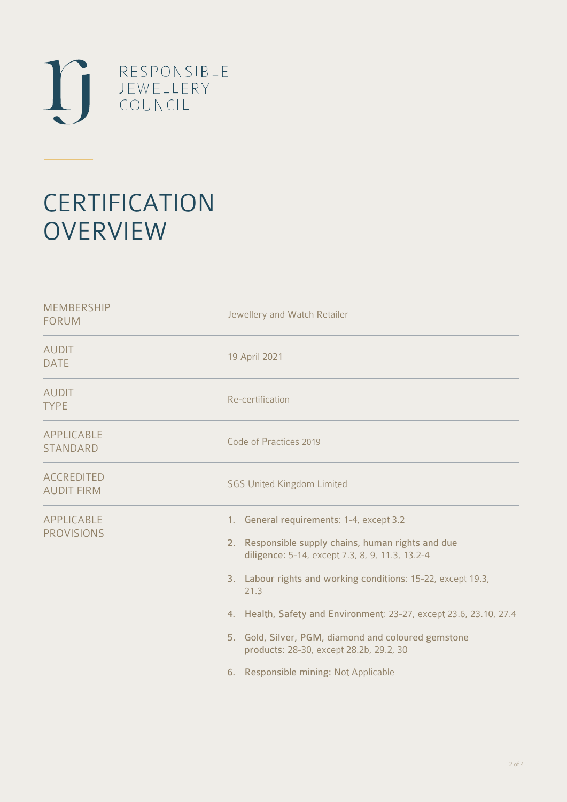

# **CERTIFICATION OVERVIEW**

| Jewellery and Watch Retailer                                                                                                                                                                                                                                                                                                                                                                                                               |
|--------------------------------------------------------------------------------------------------------------------------------------------------------------------------------------------------------------------------------------------------------------------------------------------------------------------------------------------------------------------------------------------------------------------------------------------|
| 19 April 2021                                                                                                                                                                                                                                                                                                                                                                                                                              |
| Re-certification                                                                                                                                                                                                                                                                                                                                                                                                                           |
| Code of Practices 2019                                                                                                                                                                                                                                                                                                                                                                                                                     |
| <b>SGS United Kingdom Limited</b>                                                                                                                                                                                                                                                                                                                                                                                                          |
| 1. General requirements: 1-4, except 3.2<br>2. Responsible supply chains, human rights and due<br>diligence: 5-14, except 7.3, 8, 9, 11.3, 13.2-4<br>3. Labour rights and working conditions: 15-22, except 19.3,<br>21.3<br>4. Health, Safety and Environment: 23-27, except 23.6, 23.10, 27.4<br>5. Gold, Silver, PGM, diamond and coloured gemstone<br>products: 28-30, except 28.2b, 29.2, 30<br>6. Responsible mining: Not Applicable |
|                                                                                                                                                                                                                                                                                                                                                                                                                                            |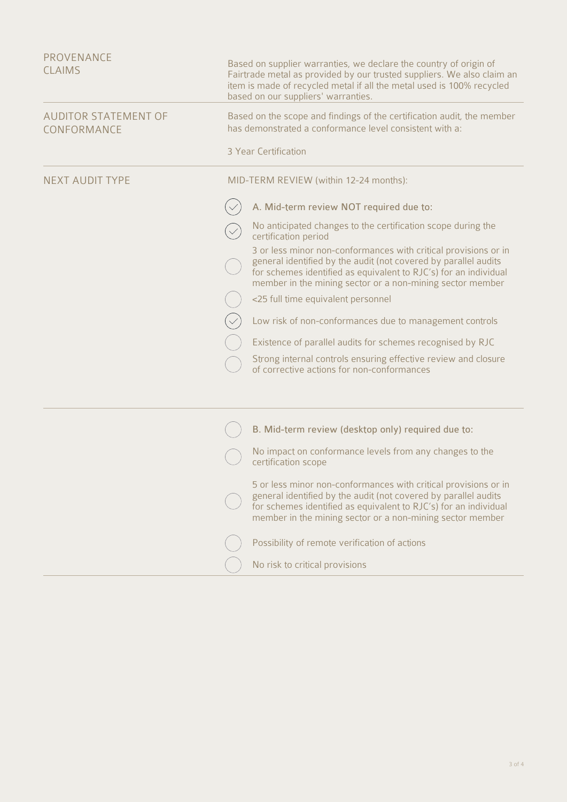| PROVENANCE<br><b>CLAIMS</b>                | Based on supplier warranties, we declare the country of origin of<br>Fairtrade metal as provided by our trusted suppliers. We also claim an<br>item is made of recycled metal if all the metal used is 100% recycled<br>based on our suppliers' warranties.                                                                                                                                                                                                                                                                                                                                                                                                                                                                     |
|--------------------------------------------|---------------------------------------------------------------------------------------------------------------------------------------------------------------------------------------------------------------------------------------------------------------------------------------------------------------------------------------------------------------------------------------------------------------------------------------------------------------------------------------------------------------------------------------------------------------------------------------------------------------------------------------------------------------------------------------------------------------------------------|
| <b>AUDITOR STATEMENT OF</b><br>CONFORMANCE | Based on the scope and findings of the certification audit, the member<br>has demonstrated a conformance level consistent with a:<br>3 Year Certification                                                                                                                                                                                                                                                                                                                                                                                                                                                                                                                                                                       |
| <b>NEXT AUDIT TYPE</b>                     | MID-TERM REVIEW (within 12-24 months):<br>A. Mid-term review NOT required due to:<br>No anticipated changes to the certification scope during the<br>certification period<br>3 or less minor non-conformances with critical provisions or in<br>general identified by the audit (not covered by parallel audits<br>for schemes identified as equivalent to RJC's) for an individual<br>member in the mining sector or a non-mining sector member<br><25 full time equivalent personnel<br>Low risk of non-conformances due to management controls<br>Existence of parallel audits for schemes recognised by RJC<br>Strong internal controls ensuring effective review and closure<br>of corrective actions for non-conformances |
|                                            | B. Mid-term review (desktop only) required due to:<br>No impact on conformance levels from any changes to the<br>certification scope<br>5 or less minor non-conformances with critical provisions or in<br>general identified by the audit (not covered by parallel audits<br>for schemes identified as equivalent to RJC's) for an individual<br>member in the mining sector or a non-mining sector member<br>Possibility of remote verification of actions<br>No risk to critical provisions                                                                                                                                                                                                                                  |